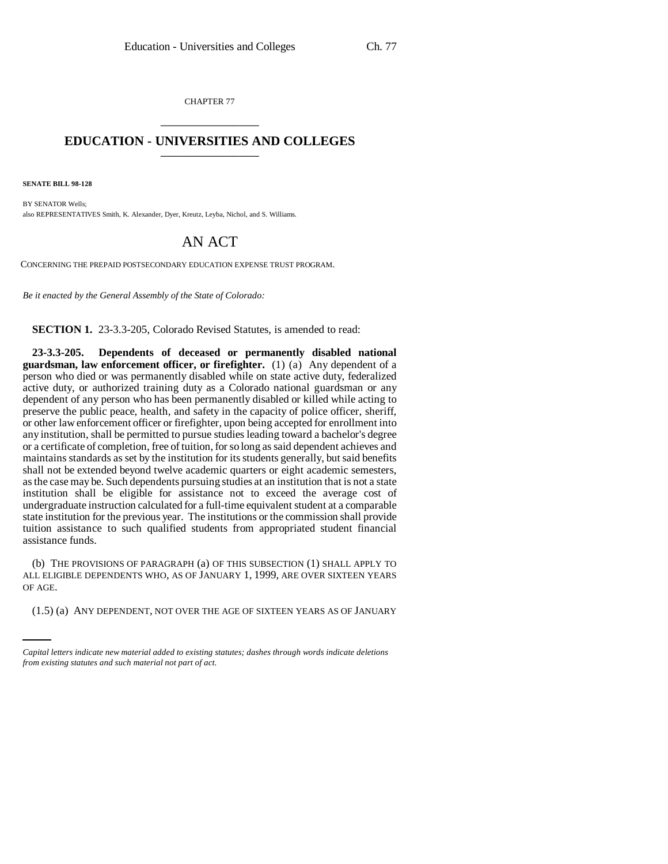CHAPTER 77 \_\_\_\_\_\_\_\_\_\_\_\_\_\_\_

## **EDUCATION - UNIVERSITIES AND COLLEGES** \_\_\_\_\_\_\_\_\_\_\_\_\_\_\_

**SENATE BILL 98-128**

BY SENATOR Wells; also REPRESENTATIVES Smith, K. Alexander, Dyer, Kreutz, Leyba, Nichol, and S. Williams.

## AN ACT

CONCERNING THE PREPAID POSTSECONDARY EDUCATION EXPENSE TRUST PROGRAM.

*Be it enacted by the General Assembly of the State of Colorado:*

**SECTION 1.** 23-3.3-205, Colorado Revised Statutes, is amended to read:

**23-3.3-205. Dependents of deceased or permanently disabled national guardsman, law enforcement officer, or firefighter.** (1) (a) Any dependent of a person who died or was permanently disabled while on state active duty, federalized active duty, or authorized training duty as a Colorado national guardsman or any dependent of any person who has been permanently disabled or killed while acting to preserve the public peace, health, and safety in the capacity of police officer, sheriff, or other law enforcement officer or firefighter, upon being accepted for enrollment into any institution, shall be permitted to pursue studies leading toward a bachelor's degree or a certificate of completion, free of tuition, for so long as said dependent achieves and maintains standards as set by the institution for its students generally, but said benefits shall not be extended beyond twelve academic quarters or eight academic semesters, as the case may be. Such dependents pursuing studies at an institution that is not a state institution shall be eligible for assistance not to exceed the average cost of undergraduate instruction calculated for a full-time equivalent student at a comparable state institution for the previous year. The institutions or the commission shall provide tuition assistance to such qualified students from appropriated student financial assistance funds.

OF AGE. (b) THE PROVISIONS OF PARAGRAPH (a) OF THIS SUBSECTION (1) SHALL APPLY TO ALL ELIGIBLE DEPENDENTS WHO, AS OF JANUARY 1, 1999, ARE OVER SIXTEEN YEARS

(1.5) (a) ANY DEPENDENT, NOT OVER THE AGE OF SIXTEEN YEARS AS OF JANUARY

*Capital letters indicate new material added to existing statutes; dashes through words indicate deletions from existing statutes and such material not part of act.*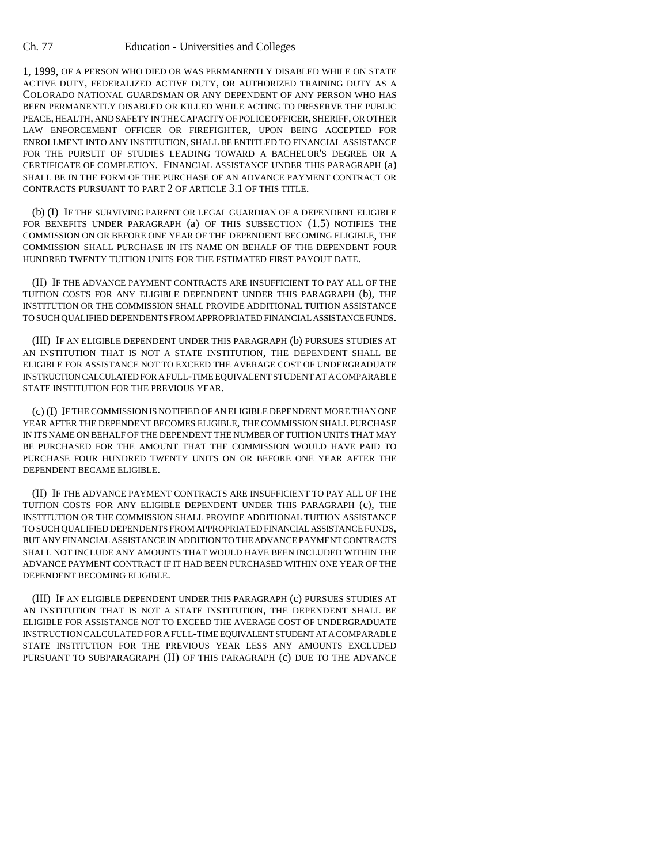## Ch. 77 Education - Universities and Colleges

1, 1999, OF A PERSON WHO DIED OR WAS PERMANENTLY DISABLED WHILE ON STATE ACTIVE DUTY, FEDERALIZED ACTIVE DUTY, OR AUTHORIZED TRAINING DUTY AS A COLORADO NATIONAL GUARDSMAN OR ANY DEPENDENT OF ANY PERSON WHO HAS BEEN PERMANENTLY DISABLED OR KILLED WHILE ACTING TO PRESERVE THE PUBLIC PEACE, HEALTH, AND SAFETY IN THE CAPACITY OF POLICE OFFICER, SHERIFF, OR OTHER LAW ENFORCEMENT OFFICER OR FIREFIGHTER, UPON BEING ACCEPTED FOR ENROLLMENT INTO ANY INSTITUTION, SHALL BE ENTITLED TO FINANCIAL ASSISTANCE FOR THE PURSUIT OF STUDIES LEADING TOWARD A BACHELOR'S DEGREE OR A CERTIFICATE OF COMPLETION. FINANCIAL ASSISTANCE UNDER THIS PARAGRAPH (a) SHALL BE IN THE FORM OF THE PURCHASE OF AN ADVANCE PAYMENT CONTRACT OR CONTRACTS PURSUANT TO PART 2 OF ARTICLE 3.1 OF THIS TITLE.

(b) (I) IF THE SURVIVING PARENT OR LEGAL GUARDIAN OF A DEPENDENT ELIGIBLE FOR BENEFITS UNDER PARAGRAPH (a) OF THIS SUBSECTION (1.5) NOTIFIES THE COMMISSION ON OR BEFORE ONE YEAR OF THE DEPENDENT BECOMING ELIGIBLE, THE COMMISSION SHALL PURCHASE IN ITS NAME ON BEHALF OF THE DEPENDENT FOUR HUNDRED TWENTY TUITION UNITS FOR THE ESTIMATED FIRST PAYOUT DATE.

(II) IF THE ADVANCE PAYMENT CONTRACTS ARE INSUFFICIENT TO PAY ALL OF THE TUITION COSTS FOR ANY ELIGIBLE DEPENDENT UNDER THIS PARAGRAPH (b), THE INSTITUTION OR THE COMMISSION SHALL PROVIDE ADDITIONAL TUITION ASSISTANCE TO SUCH QUALIFIED DEPENDENTS FROM APPROPRIATED FINANCIAL ASSISTANCE FUNDS.

(III) IF AN ELIGIBLE DEPENDENT UNDER THIS PARAGRAPH (b) PURSUES STUDIES AT AN INSTITUTION THAT IS NOT A STATE INSTITUTION, THE DEPENDENT SHALL BE ELIGIBLE FOR ASSISTANCE NOT TO EXCEED THE AVERAGE COST OF UNDERGRADUATE INSTRUCTION CALCULATED FOR A FULL-TIME EQUIVALENT STUDENT AT A COMPARABLE STATE INSTITUTION FOR THE PREVIOUS YEAR.

(c) (I) IF THE COMMISSION IS NOTIFIED OF AN ELIGIBLE DEPENDENT MORE THAN ONE YEAR AFTER THE DEPENDENT BECOMES ELIGIBLE, THE COMMISSION SHALL PURCHASE IN ITS NAME ON BEHALF OF THE DEPENDENT THE NUMBER OF TUITION UNITS THAT MAY BE PURCHASED FOR THE AMOUNT THAT THE COMMISSION WOULD HAVE PAID TO PURCHASE FOUR HUNDRED TWENTY UNITS ON OR BEFORE ONE YEAR AFTER THE DEPENDENT BECAME ELIGIBLE.

(II) IF THE ADVANCE PAYMENT CONTRACTS ARE INSUFFICIENT TO PAY ALL OF THE TUITION COSTS FOR ANY ELIGIBLE DEPENDENT UNDER THIS PARAGRAPH (c), THE INSTITUTION OR THE COMMISSION SHALL PROVIDE ADDITIONAL TUITION ASSISTANCE TO SUCH QUALIFIED DEPENDENTS FROM APPROPRIATED FINANCIAL ASSISTANCE FUNDS, BUT ANY FINANCIAL ASSISTANCE IN ADDITION TO THE ADVANCE PAYMENT CONTRACTS SHALL NOT INCLUDE ANY AMOUNTS THAT WOULD HAVE BEEN INCLUDED WITHIN THE ADVANCE PAYMENT CONTRACT IF IT HAD BEEN PURCHASED WITHIN ONE YEAR OF THE DEPENDENT BECOMING ELIGIBLE.

(III) IF AN ELIGIBLE DEPENDENT UNDER THIS PARAGRAPH (c) PURSUES STUDIES AT AN INSTITUTION THAT IS NOT A STATE INSTITUTION, THE DEPENDENT SHALL BE ELIGIBLE FOR ASSISTANCE NOT TO EXCEED THE AVERAGE COST OF UNDERGRADUATE INSTRUCTION CALCULATED FOR A FULL-TIME EQUIVALENT STUDENT AT A COMPARABLE STATE INSTITUTION FOR THE PREVIOUS YEAR LESS ANY AMOUNTS EXCLUDED PURSUANT TO SUBPARAGRAPH (II) OF THIS PARAGRAPH (c) DUE TO THE ADVANCE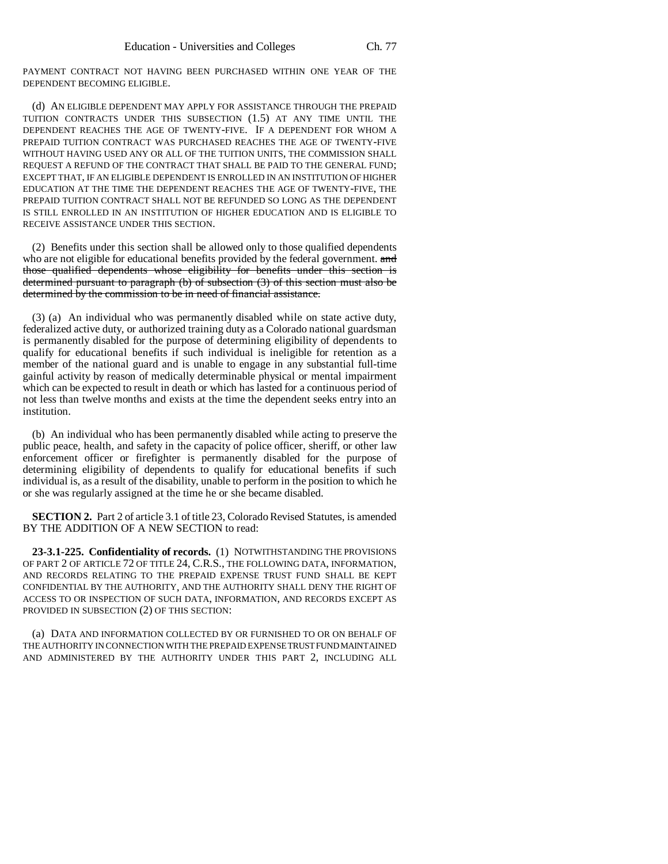PAYMENT CONTRACT NOT HAVING BEEN PURCHASED WITHIN ONE YEAR OF THE DEPENDENT BECOMING ELIGIBLE.

(d) AN ELIGIBLE DEPENDENT MAY APPLY FOR ASSISTANCE THROUGH THE PREPAID TUITION CONTRACTS UNDER THIS SUBSECTION (1.5) AT ANY TIME UNTIL THE DEPENDENT REACHES THE AGE OF TWENTY-FIVE. IF A DEPENDENT FOR WHOM A PREPAID TUITION CONTRACT WAS PURCHASED REACHES THE AGE OF TWENTY-FIVE WITHOUT HAVING USED ANY OR ALL OF THE TUITION UNITS, THE COMMISSION SHALL REQUEST A REFUND OF THE CONTRACT THAT SHALL BE PAID TO THE GENERAL FUND; EXCEPT THAT, IF AN ELIGIBLE DEPENDENT IS ENROLLED IN AN INSTITUTION OF HIGHER EDUCATION AT THE TIME THE DEPENDENT REACHES THE AGE OF TWENTY-FIVE, THE PREPAID TUITION CONTRACT SHALL NOT BE REFUNDED SO LONG AS THE DEPENDENT IS STILL ENROLLED IN AN INSTITUTION OF HIGHER EDUCATION AND IS ELIGIBLE TO RECEIVE ASSISTANCE UNDER THIS SECTION.

(2) Benefits under this section shall be allowed only to those qualified dependents who are not eligible for educational benefits provided by the federal government. and those qualified dependents whose eligibility for benefits under this section is determined pursuant to paragraph (b) of subsection (3) of this section must also be determined by the commission to be in need of financial assistance.

(3) (a) An individual who was permanently disabled while on state active duty, federalized active duty, or authorized training duty as a Colorado national guardsman is permanently disabled for the purpose of determining eligibility of dependents to qualify for educational benefits if such individual is ineligible for retention as a member of the national guard and is unable to engage in any substantial full-time gainful activity by reason of medically determinable physical or mental impairment which can be expected to result in death or which has lasted for a continuous period of not less than twelve months and exists at the time the dependent seeks entry into an institution.

(b) An individual who has been permanently disabled while acting to preserve the public peace, health, and safety in the capacity of police officer, sheriff, or other law enforcement officer or firefighter is permanently disabled for the purpose of determining eligibility of dependents to qualify for educational benefits if such individual is, as a result of the disability, unable to perform in the position to which he or she was regularly assigned at the time he or she became disabled.

**SECTION 2.** Part 2 of article 3.1 of title 23, Colorado Revised Statutes, is amended BY THE ADDITION OF A NEW SECTION to read:

**23-3.1-225. Confidentiality of records.** (1) NOTWITHSTANDING THE PROVISIONS OF PART 2 OF ARTICLE 72 OF TITLE 24, C.R.S., THE FOLLOWING DATA, INFORMATION, AND RECORDS RELATING TO THE PREPAID EXPENSE TRUST FUND SHALL BE KEPT CONFIDENTIAL BY THE AUTHORITY, AND THE AUTHORITY SHALL DENY THE RIGHT OF ACCESS TO OR INSPECTION OF SUCH DATA, INFORMATION, AND RECORDS EXCEPT AS PROVIDED IN SUBSECTION (2) OF THIS SECTION:

(a) DATA AND INFORMATION COLLECTED BY OR FURNISHED TO OR ON BEHALF OF THE AUTHORITY IN CONNECTION WITH THE PREPAID EXPENSE TRUST FUND MAINTAINED AND ADMINISTERED BY THE AUTHORITY UNDER THIS PART 2, INCLUDING ALL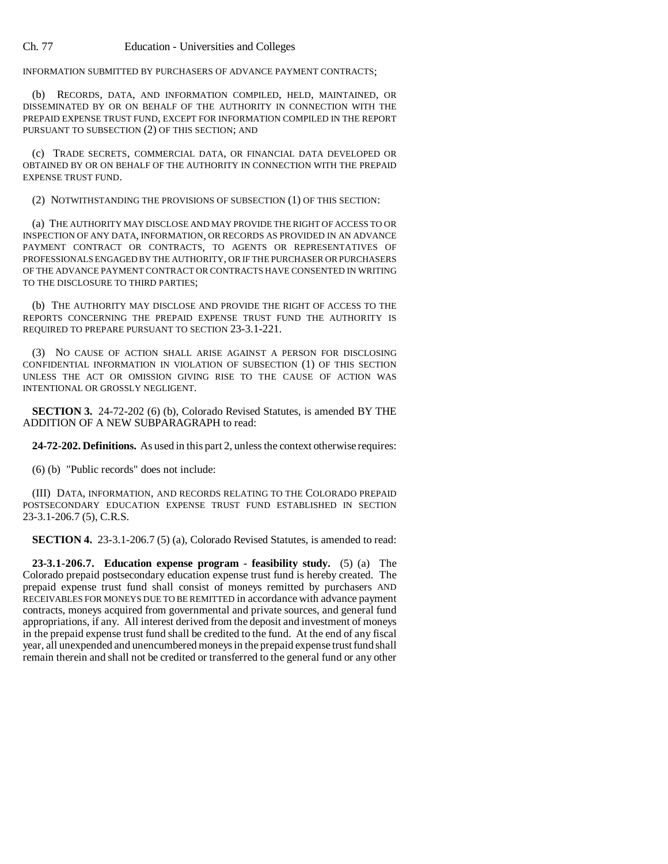INFORMATION SUBMITTED BY PURCHASERS OF ADVANCE PAYMENT CONTRACTS;

(b) RECORDS, DATA, AND INFORMATION COMPILED, HELD, MAINTAINED, OR DISSEMINATED BY OR ON BEHALF OF THE AUTHORITY IN CONNECTION WITH THE PREPAID EXPENSE TRUST FUND, EXCEPT FOR INFORMATION COMPILED IN THE REPORT PURSUANT TO SUBSECTION (2) OF THIS SECTION; AND

(c) TRADE SECRETS, COMMERCIAL DATA, OR FINANCIAL DATA DEVELOPED OR OBTAINED BY OR ON BEHALF OF THE AUTHORITY IN CONNECTION WITH THE PREPAID EXPENSE TRUST FUND.

(2) NOTWITHSTANDING THE PROVISIONS OF SUBSECTION (1) OF THIS SECTION:

(a) THE AUTHORITY MAY DISCLOSE AND MAY PROVIDE THE RIGHT OF ACCESS TO OR INSPECTION OF ANY DATA, INFORMATION, OR RECORDS AS PROVIDED IN AN ADVANCE PAYMENT CONTRACT OR CONTRACTS, TO AGENTS OR REPRESENTATIVES OF PROFESSIONALS ENGAGED BY THE AUTHORITY, OR IF THE PURCHASER OR PURCHASERS OF THE ADVANCE PAYMENT CONTRACT OR CONTRACTS HAVE CONSENTED IN WRITING TO THE DISCLOSURE TO THIRD PARTIES;

(b) THE AUTHORITY MAY DISCLOSE AND PROVIDE THE RIGHT OF ACCESS TO THE REPORTS CONCERNING THE PREPAID EXPENSE TRUST FUND THE AUTHORITY IS REQUIRED TO PREPARE PURSUANT TO SECTION 23-3.1-221.

(3) NO CAUSE OF ACTION SHALL ARISE AGAINST A PERSON FOR DISCLOSING CONFIDENTIAL INFORMATION IN VIOLATION OF SUBSECTION (1) OF THIS SECTION UNLESS THE ACT OR OMISSION GIVING RISE TO THE CAUSE OF ACTION WAS INTENTIONAL OR GROSSLY NEGLIGENT.

**SECTION 3.** 24-72-202 (6) (b), Colorado Revised Statutes, is amended BY THE ADDITION OF A NEW SUBPARAGRAPH to read:

**24-72-202. Definitions.** As used in this part 2, unless the context otherwise requires:

(6) (b) "Public records" does not include:

(III) DATA, INFORMATION, AND RECORDS RELATING TO THE COLORADO PREPAID POSTSECONDARY EDUCATION EXPENSE TRUST FUND ESTABLISHED IN SECTION 23-3.1-206.7 (5), C.R.S.

**SECTION 4.** 23-3.1-206.7 (5) (a), Colorado Revised Statutes, is amended to read:

**23-3.1-206.7. Education expense program - feasibility study.** (5) (a) The Colorado prepaid postsecondary education expense trust fund is hereby created. The prepaid expense trust fund shall consist of moneys remitted by purchasers AND RECEIVABLES FOR MONEYS DUE TO BE REMITTED in accordance with advance payment contracts, moneys acquired from governmental and private sources, and general fund appropriations, if any. All interest derived from the deposit and investment of moneys in the prepaid expense trust fund shall be credited to the fund. At the end of any fiscal year, all unexpended and unencumbered moneys in the prepaid expense trust fund shall remain therein and shall not be credited or transferred to the general fund or any other